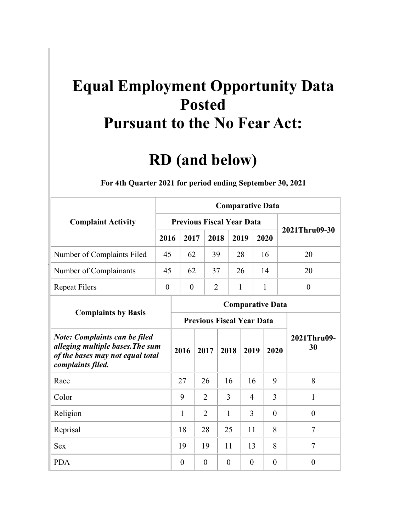## **Pursuant to the No Fear Act: Equal Employment Opportunity Data Posted**

## **RD (and below)**

| <b>Complaint Activity</b>                                                                                                         |                  |                                  |          |                |          | <b>Comparative Data</b> |              |                   |
|-----------------------------------------------------------------------------------------------------------------------------------|------------------|----------------------------------|----------|----------------|----------|-------------------------|--------------|-------------------|
|                                                                                                                                   |                  | <b>Previous Fiscal Year Data</b> |          |                |          |                         |              | 2021Thru09-30     |
|                                                                                                                                   | 2016             | 2017                             |          | 2018           |          | 2019                    | 2020         |                   |
| Number of Complaints Filed                                                                                                        | 45               | 62                               |          | 39             |          | 28                      | 16           | 20                |
| Number of Complainants                                                                                                            | 45               | 62                               |          | 37             |          | 26                      | 14           | 20                |
| <b>Repeat Filers</b>                                                                                                              | $\boldsymbol{0}$ | $\boldsymbol{0}$                 |          | $\overline{2}$ |          | $\mathbf{1}$            | $\mathbf{1}$ | $\boldsymbol{0}$  |
|                                                                                                                                   |                  |                                  |          |                |          | <b>Comparative Data</b> |              |                   |
| <b>Complaints by Basis</b>                                                                                                        |                  | <b>Previous Fiscal Year Data</b> |          |                |          |                         |              |                   |
| <b>Note: Complaints can be filed</b><br>alleging multiple bases. The sum<br>of the bases may not equal total<br>complaints filed. |                  | 2016                             | 2017     |                | 2018     | 2019                    | 2020         | 2021Thru09-<br>30 |
| Race                                                                                                                              |                  | 27                               | 26       |                | 16       | 16                      | 9            | 8                 |
| Color                                                                                                                             |                  | 9                                | 2        |                | 3        | 4                       | 3            | 1                 |
| Religion                                                                                                                          |                  | 1                                | 2        |                | 1        | 3                       | $\theta$     | $\theta$          |
| Reprisal                                                                                                                          |                  | 18                               | 28       |                | 25       | 11                      | 8            | 7                 |
| <b>Sex</b>                                                                                                                        |                  | 19                               | 19       |                | 11       | 13                      | 8            | 7                 |
| <b>PDA</b>                                                                                                                        |                  | $\theta$                         | $\theta$ |                | $\theta$ | $\theta$                | $\theta$     | $\overline{0}$    |

1B**For 4th Quarter 2021 for period ending September 30, 2021**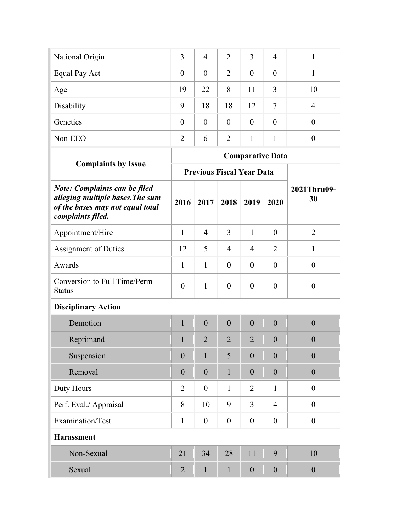| National Origin | 3        | $\overline{4}$ | 2              | 3              | $\overline{4}$ |    |
|-----------------|----------|----------------|----------------|----------------|----------------|----|
| Equal Pay Act   | $\theta$ | $\theta$       | 2              | $\overline{0}$ | $\theta$       |    |
| Age             | 19       | 22             | 8              | 11             | 3              | 10 |
| Disability      | 9        | 18             | 18             | 12             | 7              |    |
| Genetics        | $\theta$ | $\theta$       | $\overline{0}$ | $\theta$       | $\theta$       |    |
| Non-EEO         | 2        | 6              | 2              |                |                |    |
|                 |          |                |                |                |                |    |

|                                                                                                                                   |                |                |                | <b>Comparative Data</b>          |                  |                   |
|-----------------------------------------------------------------------------------------------------------------------------------|----------------|----------------|----------------|----------------------------------|------------------|-------------------|
| <b>Complaints by Issue</b>                                                                                                        |                |                |                | <b>Previous Fiscal Year Data</b> |                  |                   |
| <b>Note: Complaints can be filed</b><br>alleging multiple bases. The sum<br>of the bases may not equal total<br>complaints filed. | 2016           | 2017           | 2018           | 2019                             | 2020             | 2021Thru09-<br>30 |
| Appointment/Hire                                                                                                                  | $\mathbf{1}$   | $\overline{4}$ | $\overline{3}$ | $\mathbf{1}$                     | $\theta$         | $\overline{2}$    |
| <b>Assignment of Duties</b>                                                                                                       | 12             | 5              | 4              | 4                                | $\overline{2}$   | $\mathbf{1}$      |
| Awards                                                                                                                            | $\mathbf{1}$   | $\mathbf{1}$   | $\overline{0}$ | $\overline{0}$                   | $\theta$         | $\overline{0}$    |
| Conversion to Full Time/Perm<br><b>Status</b>                                                                                     | $\overline{0}$ | $\mathbf{1}$   | $\overline{0}$ | $\overline{0}$                   | $\theta$         | $\overline{0}$    |
| <b>Disciplinary Action</b>                                                                                                        |                |                |                |                                  |                  |                   |
| Demotion                                                                                                                          | $\mathbf{1}$   | $\overline{0}$ | $\overline{0}$ | $\overline{0}$                   | $\overline{0}$   | $\overline{0}$    |
| Reprimand                                                                                                                         | $\mathbf{1}$   | $\overline{2}$ | $\overline{2}$ | $\overline{2}$                   | $\theta$         | $\theta$          |
| Suspension                                                                                                                        | $\overline{0}$ | 1              | 5              | $\theta$                         | $\overline{0}$   | $\theta$          |
| Removal                                                                                                                           | $\overline{0}$ | $\overline{0}$ | $\mathbf{1}$   | $\overline{0}$                   | $\overline{0}$   | $\overline{0}$    |
| Duty Hours                                                                                                                        | $\overline{2}$ | $\overline{0}$ | $\mathbf{1}$   | $\overline{2}$                   | $\mathbf{1}$     | $\overline{0}$    |
| Perf. Eval./ Appraisal                                                                                                            | 8              | 10             | 9              | 3                                | $\overline{4}$   | $\theta$          |
| Examination/Test                                                                                                                  | $\mathbf{1}$   | $\theta$       | $\theta$       | $\theta$                         | $\theta$         | $\overline{0}$    |
| <b>Harassment</b>                                                                                                                 |                |                |                |                                  |                  |                   |
| Non-Sexual                                                                                                                        | 21             | 34             | 28             | 11                               | 9                | 10                |
| Sexual                                                                                                                            | $\overline{2}$ | $\mathbf{1}$   | $\mathbf{1}$   | $\boldsymbol{0}$                 | $\boldsymbol{0}$ | $\boldsymbol{0}$  |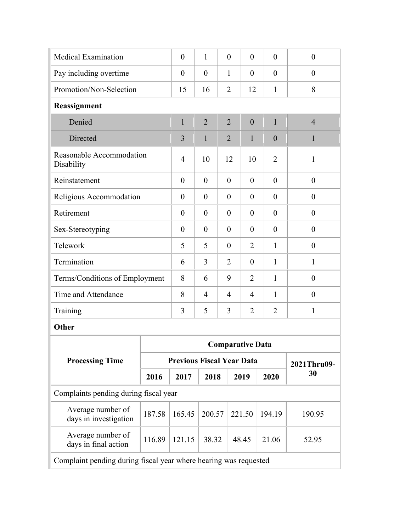| <b>Medical Examination</b>                                       |                                                                            | $\theta$                         | $\mathbf{1}$   |  | $\theta$       | $\overline{0}$          | $\overline{0}$ | $\theta$         |  |  |  |
|------------------------------------------------------------------|----------------------------------------------------------------------------|----------------------------------|----------------|--|----------------|-------------------------|----------------|------------------|--|--|--|
| Pay including overtime                                           |                                                                            | $\theta$                         | $\overline{0}$ |  | $\mathbf{1}$   | $\theta$                | $\overline{0}$ | $\theta$         |  |  |  |
| Promotion/Non-Selection                                          |                                                                            | 15                               | 16             |  | $\overline{2}$ | 12                      | $\mathbf{1}$   | 8                |  |  |  |
| Reassignment                                                     |                                                                            |                                  |                |  |                |                         |                |                  |  |  |  |
| Denied                                                           |                                                                            | $\mathbf{1}$                     | $\overline{2}$ |  | $\overline{2}$ | $\overline{0}$          | $\mathbf{1}$   | $\overline{4}$   |  |  |  |
| Directed                                                         |                                                                            | 3                                | $\mathbf{1}$   |  | $\overline{2}$ | $\mathbf{1}$            | $\mathbf{0}$   | $\mathbf{1}$     |  |  |  |
| Reasonable Accommodation<br>Disability                           |                                                                            | 4                                | 10             |  | 12             | 10                      | $\overline{2}$ | $\mathbf{1}$     |  |  |  |
| Reinstatement                                                    |                                                                            | $\theta$                         | $\theta$       |  | $\theta$       | $\overline{0}$          | $\theta$       | $\theta$         |  |  |  |
| Religious Accommodation                                          |                                                                            | $\theta$                         | $\theta$       |  | $\theta$       | $\theta$                | $\overline{0}$ | $\theta$         |  |  |  |
| Retirement                                                       |                                                                            | $\overline{0}$                   | $\theta$       |  | $\theta$       | $\theta$                | $\overline{0}$ | $\overline{0}$   |  |  |  |
| Sex-Stereotyping                                                 | $\theta$<br>$\theta$<br>$\theta$<br>$\theta$<br>$\theta$<br>$\overline{0}$ |                                  |                |  |                |                         |                |                  |  |  |  |
| Telework                                                         | 5<br>5<br>$\theta$<br>2<br>$\mathbf{1}$<br>$\overline{0}$                  |                                  |                |  |                |                         |                |                  |  |  |  |
| Termination                                                      |                                                                            | 6                                | 3              |  | $\overline{2}$ | $\theta$                | $\mathbf{1}$   | 1                |  |  |  |
| Terms/Conditions of Employment                                   |                                                                            | 8                                | 6              |  | 9              | $\overline{2}$          | $\mathbf{1}$   | $\boldsymbol{0}$ |  |  |  |
| Time and Attendance                                              |                                                                            | 8                                | $\overline{4}$ |  | $\overline{4}$ | $\overline{4}$          | $\mathbf{1}$   | $\boldsymbol{0}$ |  |  |  |
| Training                                                         |                                                                            | 3                                | 5              |  | 3              | $\overline{2}$          | $\overline{2}$ | $\mathbf{1}$     |  |  |  |
| Other                                                            |                                                                            |                                  |                |  |                |                         |                |                  |  |  |  |
|                                                                  |                                                                            |                                  |                |  |                | <b>Comparative Data</b> |                |                  |  |  |  |
| <b>Processing Time</b>                                           |                                                                            | <b>Previous Fiscal Year Data</b> |                |  |                |                         |                | 2021Thru09-      |  |  |  |
|                                                                  | 2016                                                                       | 2017                             | 2018           |  |                | 2019                    | 2020           | 30               |  |  |  |
| Complaints pending during fiscal year                            |                                                                            |                                  |                |  |                |                         |                |                  |  |  |  |
| Average number of<br>days in investigation                       | 187.58                                                                     | 165.45                           | 200.57         |  |                | 221.50                  | 194.19         | 190.95           |  |  |  |
| Average number of<br>days in final action                        | 116.89                                                                     | 121.15                           | 38.32          |  |                | 48.45                   | 21.06          | 52.95            |  |  |  |
| Complaint pending during fiscal year where hearing was requested |                                                                            |                                  |                |  |                |                         |                |                  |  |  |  |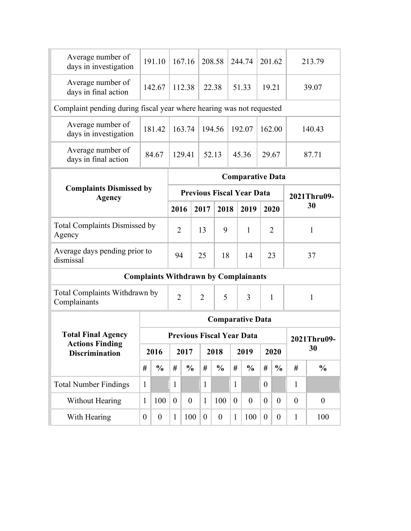| Average number of<br>days in investigation                           |                  | 191.10                                                      |                  | 167.16           |                  | 208.58           |                | 244.74                           |                  | 201.62           |                | 213.79           |  |
|----------------------------------------------------------------------|------------------|-------------------------------------------------------------|------------------|------------------|------------------|------------------|----------------|----------------------------------|------------------|------------------|----------------|------------------|--|
| Average number of<br>days in final action                            |                  | 142.67                                                      |                  | 112.38           |                  | 22.38            |                | 51.33                            |                  | 19.21            |                | 39.07            |  |
| Complaint pending during fiscal year where hearing was not requested |                  |                                                             |                  |                  |                  |                  |                |                                  |                  |                  |                |                  |  |
| Average number of<br>days in investigation                           |                  | 181.42                                                      |                  | 163.74           |                  | 194.56           |                | 192.07                           |                  | 162.00           |                | 140.43           |  |
| Average number of<br>days in final action                            |                  | 84.67                                                       |                  | 129.41           |                  | 52.13            |                | 45.36                            |                  | 29.67            |                | 87.71            |  |
|                                                                      |                  |                                                             |                  |                  |                  |                  |                | <b>Comparative Data</b>          |                  |                  |                |                  |  |
| <b>Complaints Dismissed by</b><br><b>Agency</b>                      |                  |                                                             |                  |                  |                  |                  |                | <b>Previous Fiscal Year Data</b> |                  |                  |                | 2021Thru09-      |  |
|                                                                      |                  |                                                             | 2016             |                  | 2017             | 2018             |                | 2019                             |                  | 2020             |                | 30               |  |
| <b>Total Complaints Dismissed by</b><br>Agency                       |                  | $\overline{2}$<br>13<br>9<br>$\mathbf{1}$<br>$\overline{2}$ |                  |                  |                  |                  |                |                                  |                  |                  |                | 1                |  |
| Average days pending prior to<br>dismissal                           |                  |                                                             | 94               |                  | 25               | 18               |                | 14                               |                  | 23               |                | 37               |  |
|                                                                      |                  | <b>Complaints Withdrawn by Complainants</b>                 |                  |                  |                  |                  |                |                                  |                  |                  |                |                  |  |
| Total Complaints Withdrawn by<br>Complainants                        |                  |                                                             | $\overline{2}$   |                  | $\overline{2}$   | 5                |                | 3                                |                  | 1                | $\mathbf{1}$   |                  |  |
|                                                                      |                  |                                                             |                  |                  |                  |                  |                | <b>Comparative Data</b>          |                  |                  |                |                  |  |
| <b>Total Final Agency</b>                                            |                  |                                                             |                  |                  |                  |                  |                | <b>Previous Fiscal Year Data</b> |                  |                  |                | 2021Thru09-      |  |
| <b>Actions Finding</b><br><b>Discrimination</b>                      |                  | 2016                                                        |                  | 2017             |                  | 2018             |                | 2019                             |                  | 2020             |                | 30               |  |
|                                                                      | #                | $\frac{0}{0}$                                               | #                | $\frac{0}{0}$    | #                | $\frac{0}{0}$    | $\#$           | $\frac{0}{0}$                    | #                | $\frac{0}{0}$    | #              | $\frac{0}{0}$    |  |
| <b>Total Number Findings</b>                                         | $\mathbf{1}$     |                                                             | $\mathbf{1}$     |                  | $\mathbf{1}$     |                  | $\mathbf{1}$   |                                  | $\boldsymbol{0}$ |                  | $\mathbf{1}$   |                  |  |
| Without Hearing                                                      | $\mathbf{1}$     | 100                                                         | $\boldsymbol{0}$ | $\boldsymbol{0}$ | $\mathbf{1}$     | 100              | $\overline{0}$ | $\boldsymbol{0}$                 | $\overline{0}$   | $\overline{0}$   | $\overline{0}$ | $\boldsymbol{0}$ |  |
| With Hearing                                                         | $\boldsymbol{0}$ | $\boldsymbol{0}$                                            | $\mathbf{1}$     | 100              | $\boldsymbol{0}$ | $\boldsymbol{0}$ | $\mathbf{1}$   | 100                              | $\boldsymbol{0}$ | $\boldsymbol{0}$ | $\mathbf{1}$   | 100              |  |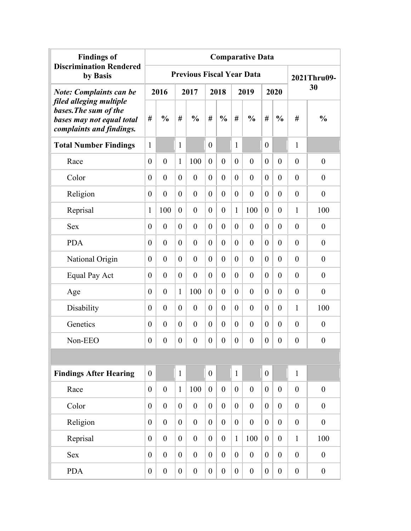| <b>Findings of</b>                                                                                        | <b>Comparative Data</b> |                  |                  |                  |                  |                  |                  |                                  |                  |                  |                  |                  |  |
|-----------------------------------------------------------------------------------------------------------|-------------------------|------------------|------------------|------------------|------------------|------------------|------------------|----------------------------------|------------------|------------------|------------------|------------------|--|
| <b>Discrimination Rendered</b><br>by Basis                                                                |                         |                  |                  |                  |                  |                  |                  | <b>Previous Fiscal Year Data</b> |                  |                  |                  | 2021Thru09-      |  |
| <b>Note: Complaints can be</b>                                                                            |                         | 2016             |                  | 2017             |                  | 2018             |                  | 2019                             |                  | 2020             |                  | 30               |  |
| filed alleging multiple<br>bases. The sum of the<br>bases may not equal total<br>complaints and findings. | #                       | $\frac{0}{0}$    | #                | $\frac{0}{0}$    | #                | $\frac{0}{0}$    | #                | $\frac{0}{0}$                    | #                | $\frac{0}{0}$    | #                | $\frac{0}{0}$    |  |
| <b>Total Number Findings</b>                                                                              | $\mathbf{1}$            |                  | $\mathbf{1}$     |                  | $\theta$         |                  | 1                |                                  | $\theta$         |                  | 1                |                  |  |
| Race                                                                                                      | $\overline{0}$          | $\overline{0}$   | $\mathbf{1}$     | 100              | $\overline{0}$   | $\overline{0}$   | $\boldsymbol{0}$ | $\overline{0}$                   | $\mathbf{0}$     | $\overline{0}$   | $\overline{0}$   | $\boldsymbol{0}$ |  |
| Color                                                                                                     | $\overline{0}$          | $\overline{0}$   | $\theta$         | $\theta$         | $\theta$         | $\overline{0}$   | $\boldsymbol{0}$ | $\overline{0}$                   | $\theta$         | $\overline{0}$   | $\overline{0}$   | $\boldsymbol{0}$ |  |
| Religion                                                                                                  | $\theta$                | $\overline{0}$   | $\theta$         | $\theta$         | $\theta$         | $\overline{0}$   | $\boldsymbol{0}$ | $\overline{0}$                   | $\theta$         | $\overline{0}$   | $\overline{0}$   | $\boldsymbol{0}$ |  |
| Reprisal                                                                                                  | $\mathbf{1}$            | 100              | $\theta$         | $\theta$         | $\theta$         | $\boldsymbol{0}$ | 1                | 100                              | $\boldsymbol{0}$ | $\overline{0}$   | 1                | 100              |  |
| <b>Sex</b>                                                                                                | $\theta$                | $\theta$         | $\theta$         | $\theta$         | $\theta$         | $\overline{0}$   | $\boldsymbol{0}$ | $\boldsymbol{0}$                 | $\boldsymbol{0}$ | $\overline{0}$   | $\overline{0}$   | $\boldsymbol{0}$ |  |
| <b>PDA</b>                                                                                                | $\theta$                | $\theta$         | $\theta$         | $\theta$         | $\theta$         | $\theta$         | $\boldsymbol{0}$ | $\theta$                         | $\theta$         | $\overline{0}$   | $\overline{0}$   | $\boldsymbol{0}$ |  |
| National Origin                                                                                           | $\theta$                | $\theta$         | $\theta$         | $\theta$         | $\theta$         | $\theta$         | $\boldsymbol{0}$ | $\overline{0}$                   | $\theta$         | $\theta$         | $\theta$         | $\boldsymbol{0}$ |  |
| Equal Pay Act                                                                                             | $\theta$                | $\theta$         | $\theta$         | $\theta$         | $\theta$         | $\theta$         | $\boldsymbol{0}$ | $\overline{0}$                   | $\overline{0}$   | $\theta$         | $\theta$         | $\theta$         |  |
| Age                                                                                                       | $\theta$                | $\theta$         | $\mathbf{1}$     | 100              | $\theta$         | $\theta$         | $\boldsymbol{0}$ | $\overline{0}$                   | $\overline{0}$   | $\theta$         | $\theta$         | $\theta$         |  |
| Disability                                                                                                | $\theta$                | $\theta$         | $\theta$         | $\theta$         | $\theta$         | $\theta$         | $\theta$         | $\theta$                         | $\theta$         | $\theta$         | 1                | 100              |  |
| Genetics                                                                                                  | $\theta$                | $\theta$         | $\theta$         | $\theta$         | $\theta$         | $\theta$         | $\boldsymbol{0}$ | $\theta$                         | $\theta$         | $\theta$         | $\theta$         | $\boldsymbol{0}$ |  |
| Non-EEO                                                                                                   | $\theta$                | $\theta$         | $\theta$         | $\boldsymbol{0}$ | $\theta$         | $\theta$         | $\boldsymbol{0}$ | $\boldsymbol{0}$                 | $\boldsymbol{0}$ | $\theta$         | $\theta$         | $\overline{0}$   |  |
|                                                                                                           |                         |                  |                  |                  |                  |                  |                  |                                  |                  |                  |                  |                  |  |
| <b>Findings After Hearing</b>                                                                             | $\theta$                |                  | $\mathbf{1}$     |                  | $\overline{0}$   |                  | $\mathbf{1}$     |                                  | $\boldsymbol{0}$ |                  | $\mathbf{1}$     |                  |  |
| Race                                                                                                      | $\boldsymbol{0}$        | $\boldsymbol{0}$ | $\mathbf{1}$     | 100              | $\overline{0}$   | $\boldsymbol{0}$ | $\boldsymbol{0}$ | $\boldsymbol{0}$                 | $\overline{0}$   | $\boldsymbol{0}$ | $\boldsymbol{0}$ | $\boldsymbol{0}$ |  |
| Color                                                                                                     | $\boldsymbol{0}$        | $\boldsymbol{0}$ | $\theta$         | $\boldsymbol{0}$ | $\overline{0}$   | $\overline{0}$   | $\boldsymbol{0}$ | $\boldsymbol{0}$                 | $\boldsymbol{0}$ | $\boldsymbol{0}$ | $\boldsymbol{0}$ | $\boldsymbol{0}$ |  |
| Religion                                                                                                  | $\theta$                | $\boldsymbol{0}$ | $\overline{0}$   | $\boldsymbol{0}$ | $\overline{0}$   | $\overline{0}$   | $\boldsymbol{0}$ | $\boldsymbol{0}$                 | $\boldsymbol{0}$ | $\overline{0}$   | $\boldsymbol{0}$ | $\boldsymbol{0}$ |  |
| Reprisal                                                                                                  | $\mathbf{0}$            | $\boldsymbol{0}$ | $\overline{0}$   | $\boldsymbol{0}$ | $\overline{0}$   | $\overline{0}$   | $\mathbf{1}$     | 100                              | $\boldsymbol{0}$ | $\overline{0}$   | $\mathbf{1}$     | 100              |  |
| <b>Sex</b>                                                                                                | $\overline{0}$          | $\boldsymbol{0}$ | $\theta$         | $\boldsymbol{0}$ | $\overline{0}$   | $\boldsymbol{0}$ | $\boldsymbol{0}$ | $\boldsymbol{0}$                 | $\boldsymbol{0}$ | $\overline{0}$   | $\boldsymbol{0}$ | $\boldsymbol{0}$ |  |
| <b>PDA</b>                                                                                                | $\boldsymbol{0}$        | $\boldsymbol{0}$ | $\boldsymbol{0}$ | $\boldsymbol{0}$ | $\boldsymbol{0}$ | $\boldsymbol{0}$ | $\boldsymbol{0}$ | $\boldsymbol{0}$                 | $\boldsymbol{0}$ | $\overline{0}$   | $\boldsymbol{0}$ | $\boldsymbol{0}$ |  |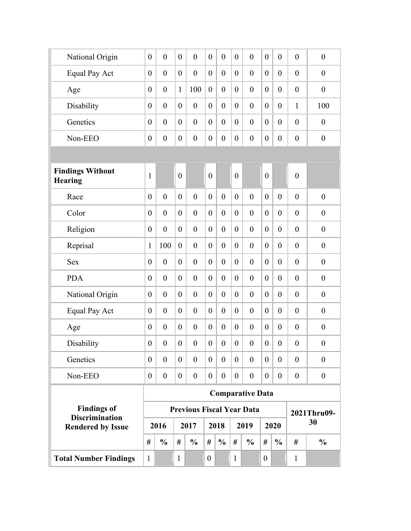| National Origin<br>$\boldsymbol{0}$<br>$\boldsymbol{0}$<br>$\boldsymbol{0}$<br>$\boldsymbol{0}$<br>$\mathbf{0}$<br>$\overline{0}$<br>$\boldsymbol{0}$<br>$\boldsymbol{0}$<br>$\boldsymbol{0}$<br>$\boldsymbol{0}$<br>$\boldsymbol{0}$<br>$\boldsymbol{0}$<br>Equal Pay Act<br>$\boldsymbol{0}$<br>$\boldsymbol{0}$<br>$\boldsymbol{0}$<br>$\boldsymbol{0}$<br>$\boldsymbol{0}$<br>$\boldsymbol{0}$<br>$\boldsymbol{0}$<br>$\boldsymbol{0}$<br>$\boldsymbol{0}$<br>$\boldsymbol{0}$<br>$\theta$<br>$\overline{0}$<br>$\boldsymbol{0}$<br>$\mathbf{1}$<br>100<br>$\boldsymbol{0}$<br>$\boldsymbol{0}$<br>$\boldsymbol{0}$<br>$\mathbf{0}$<br>$\boldsymbol{0}$<br>$\boldsymbol{0}$<br>Age<br>$\boldsymbol{0}$<br>$\boldsymbol{0}$<br>$\overline{0}$<br>$\mathbf{0}$<br>Disability<br>$\boldsymbol{0}$<br>$\boldsymbol{0}$<br>$\boldsymbol{0}$<br>$\boldsymbol{0}$<br>$\boldsymbol{0}$<br>$\boldsymbol{0}$<br>$\mathbf{0}$<br>$\mathbf{1}$<br>$\boldsymbol{0}$<br>$\overline{0}$<br>Genetics<br>$\boldsymbol{0}$<br>$\boldsymbol{0}$<br>$\boldsymbol{0}$<br>$\boldsymbol{0}$<br>$\boldsymbol{0}$<br>$\boldsymbol{0}$<br>$\mathbf{0}$<br>$\boldsymbol{0}$<br>$\boldsymbol{0}$<br>$\boldsymbol{0}$<br>$\theta$<br>$\overline{0}$<br>$\boldsymbol{0}$<br>$\mathbf{0}$<br>$\boldsymbol{0}$<br>Non-EEO<br>$\boldsymbol{0}$<br>$\boldsymbol{0}$<br>$\boldsymbol{0}$<br>$\overline{0}$<br>$\boldsymbol{0}$<br>$\boldsymbol{0}$<br>$\boldsymbol{0}$<br>$\boldsymbol{0}$<br>$\boldsymbol{0}$<br><b>Findings Without</b><br>$\mathbf{0}$<br>$\overline{0}$<br>$\overline{0}$<br>$\boldsymbol{0}$<br>$\boldsymbol{0}$<br>$\mathbf{1}$<br><b>Hearing</b><br>Race<br>$\boldsymbol{0}$<br>$\boldsymbol{0}$<br>$\boldsymbol{0}$<br>$\overline{0}$<br>$\boldsymbol{0}$<br>$\boldsymbol{0}$<br>$\boldsymbol{0}$<br>$\mathbf{0}$<br>$\overline{0}$<br>$\boldsymbol{0}$<br>$\boldsymbol{0}$<br>$\overline{0}$<br>Color<br>$\boldsymbol{0}$<br>$\boldsymbol{0}$<br>$\boldsymbol{0}$<br>$\boldsymbol{0}$<br>$\boldsymbol{0}$<br>$\boldsymbol{0}$<br>$\mathbf{0}$<br>$\boldsymbol{0}$<br>$\boldsymbol{0}$<br>$\boldsymbol{0}$<br>$\overline{0}$<br>$\overline{0}$<br>Religion<br>$\boldsymbol{0}$<br>$\boldsymbol{0}$<br>$\boldsymbol{0}$<br>$\boldsymbol{0}$<br>$\boldsymbol{0}$<br>$\boldsymbol{0}$<br>$\boldsymbol{0}$<br>$\theta$<br>$\overline{0}$<br>$\boldsymbol{0}$<br>$\boldsymbol{0}$<br>$\overline{0}$<br>Reprisal<br>100<br>$\boldsymbol{0}$<br>1<br>$\boldsymbol{0}$<br>$\boldsymbol{0}$<br>$\theta$<br>$\overline{0}$<br>$\boldsymbol{0}$<br>$\boldsymbol{0}$<br>$\overline{0}$<br>$\boldsymbol{0}$<br>$\boldsymbol{0}$<br>$\boldsymbol{0}$<br>$\boldsymbol{0}$<br><b>Sex</b><br>$\boldsymbol{0}$<br>$\boldsymbol{0}$<br>$\boldsymbol{0}$<br>$\theta$<br>$\theta$<br>$\overline{0}$<br>$\boldsymbol{0}$<br>$\theta$<br>$\boldsymbol{0}$<br>$\boldsymbol{0}$<br><b>PDA</b><br>$\boldsymbol{0}$<br>$\boldsymbol{0}$<br>$\boldsymbol{0}$<br>$\boldsymbol{0}$<br>$\boldsymbol{0}$<br>$\boldsymbol{0}$<br>$\boldsymbol{0}$<br>$\theta$<br>$\overline{0}$<br>$\boldsymbol{0}$<br>$\theta$<br>$\boldsymbol{0}$<br>National Origin<br>$\boldsymbol{0}$<br>$\boldsymbol{0}$<br>$\boldsymbol{0}$<br>$\boldsymbol{0}$<br>$\boldsymbol{0}$<br>$\boldsymbol{0}$<br>$\boldsymbol{0}$<br>$\overline{0}$<br>$\boldsymbol{0}$<br>$\boldsymbol{0}$<br>$\theta$<br>$\overline{0}$<br>Equal Pay Act<br>$\boldsymbol{0}$<br>$\boldsymbol{0}$<br>$\boldsymbol{0}$<br>$\boldsymbol{0}$<br>$\boldsymbol{0}$<br>$\boldsymbol{0}$<br>$\boldsymbol{0}$<br>$\boldsymbol{0}$<br>$\boldsymbol{0}$<br>$\theta$<br>$\overline{0}$<br>$\theta$<br>$\boldsymbol{0}$<br>$\boldsymbol{0}$<br>$\boldsymbol{0}$<br>$\boldsymbol{0}$<br>$\boldsymbol{0}$<br>$\boldsymbol{0}$<br>Age<br>$\boldsymbol{0}$<br>$\theta$<br>$\overline{0}$<br>$\boldsymbol{0}$<br>$\boldsymbol{0}$<br>$\boldsymbol{0}$<br>$\boldsymbol{0}$<br>$\overline{0}$<br>Disability<br>$\boldsymbol{0}$<br>$\boldsymbol{0}$<br>$\boldsymbol{0}$<br>$\boldsymbol{0}$<br>$\boldsymbol{0}$<br>$\boldsymbol{0}$<br>$\boldsymbol{0}$<br>$\boldsymbol{0}$<br>$\boldsymbol{0}$<br>$\boldsymbol{0}$<br>Genetics<br>$\theta$<br>$\overline{0}$<br>$\theta$<br>$\overline{0}$<br>$\overline{0}$<br>$\overline{0}$<br>$\overline{0}$<br>$\theta$<br>$\theta$<br>$\boldsymbol{0}$<br>$\theta$<br>$\theta$<br>$\boldsymbol{0}$<br>$\boldsymbol{0}$<br>$\boldsymbol{0}$<br>$\overline{0}$<br>$\boldsymbol{0}$<br>Non-EEO<br>$\boldsymbol{0}$<br>$\boldsymbol{0}$<br>$\theta$<br>$\overline{0}$<br>$\boldsymbol{0}$<br>$\boldsymbol{0}$<br>$\overline{0}$<br><b>Comparative Data</b><br><b>Findings of</b><br><b>Previous Fiscal Year Data</b><br>2021Thru09-<br><b>Discrimination</b><br>30<br>2016<br>2017<br>2018<br>2019<br>2020<br><b>Rendered by Issue</b><br>$\#$<br>#<br>$\frac{0}{0}$<br>#<br>$\frac{0}{0}$<br>#<br>$\frac{0}{0}$<br>#<br>#<br>$\frac{0}{0}$<br>$\frac{0}{0}$<br>$\frac{0}{0}$<br><b>Total Number Findings</b><br>$\mathbf{1}$<br>$\mathbf{1}$<br>$\mathbf{1}$<br>$\boldsymbol{0}$<br>$\mathbf{1}$<br>$\boldsymbol{0}$ |  |  |  |  |  |  |     |
|-------------------------------------------------------------------------------------------------------------------------------------------------------------------------------------------------------------------------------------------------------------------------------------------------------------------------------------------------------------------------------------------------------------------------------------------------------------------------------------------------------------------------------------------------------------------------------------------------------------------------------------------------------------------------------------------------------------------------------------------------------------------------------------------------------------------------------------------------------------------------------------------------------------------------------------------------------------------------------------------------------------------------------------------------------------------------------------------------------------------------------------------------------------------------------------------------------------------------------------------------------------------------------------------------------------------------------------------------------------------------------------------------------------------------------------------------------------------------------------------------------------------------------------------------------------------------------------------------------------------------------------------------------------------------------------------------------------------------------------------------------------------------------------------------------------------------------------------------------------------------------------------------------------------------------------------------------------------------------------------------------------------------------------------------------------------------------------------------------------------------------------------------------------------------------------------------------------------------------------------------------------------------------------------------------------------------------------------------------------------------------------------------------------------------------------------------------------------------------------------------------------------------------------------------------------------------------------------------------------------------------------------------------------------------------------------------------------------------------------------------------------------------------------------------------------------------------------------------------------------------------------------------------------------------------------------------------------------------------------------------------------------------------------------------------------------------------------------------------------------------------------------------------------------------------------------------------------------------------------------------------------------------------------------------------------------------------------------------------------------------------------------------------------------------------------------------------------------------------------------------------------------------------------------------------------------------------------------------------------------------------------------------------------------------------------------------------------------------------------------------------------------------------------------------------------------------------------------------------------------------------------------------------------------------------------------------------------------------------------------------------------------------------------------------------------------------------------------------------------------------------------------------------------------------------------------------------------------------------------------------------------------------------------------------------------------------------------------------------------------------------------------------------------------------------------------------------------------------------------------------------------------------------------------------------------------------------------------------------------------------------------------------------------------------------------------------------------------------------------------------------------------------------------------------------------------------------------------------------------------------------------------------------------------------------------------------------------------------------------------------------------------------------------------------|--|--|--|--|--|--|-----|
|                                                                                                                                                                                                                                                                                                                                                                                                                                                                                                                                                                                                                                                                                                                                                                                                                                                                                                                                                                                                                                                                                                                                                                                                                                                                                                                                                                                                                                                                                                                                                                                                                                                                                                                                                                                                                                                                                                                                                                                                                                                                                                                                                                                                                                                                                                                                                                                                                                                                                                                                                                                                                                                                                                                                                                                                                                                                                                                                                                                                                                                                                                                                                                                                                                                                                                                                                                                                                                                                                                                                                                                                                                                                                                                                                                                                                                                                                                                                                                                                                                                                                                                                                                                                                                                                                                                                                                                                                                                                                                                                                                                                                                                                                                                                                                                                                                                                                                                                                                                                                                                 |  |  |  |  |  |  |     |
|                                                                                                                                                                                                                                                                                                                                                                                                                                                                                                                                                                                                                                                                                                                                                                                                                                                                                                                                                                                                                                                                                                                                                                                                                                                                                                                                                                                                                                                                                                                                                                                                                                                                                                                                                                                                                                                                                                                                                                                                                                                                                                                                                                                                                                                                                                                                                                                                                                                                                                                                                                                                                                                                                                                                                                                                                                                                                                                                                                                                                                                                                                                                                                                                                                                                                                                                                                                                                                                                                                                                                                                                                                                                                                                                                                                                                                                                                                                                                                                                                                                                                                                                                                                                                                                                                                                                                                                                                                                                                                                                                                                                                                                                                                                                                                                                                                                                                                                                                                                                                                                 |  |  |  |  |  |  |     |
|                                                                                                                                                                                                                                                                                                                                                                                                                                                                                                                                                                                                                                                                                                                                                                                                                                                                                                                                                                                                                                                                                                                                                                                                                                                                                                                                                                                                                                                                                                                                                                                                                                                                                                                                                                                                                                                                                                                                                                                                                                                                                                                                                                                                                                                                                                                                                                                                                                                                                                                                                                                                                                                                                                                                                                                                                                                                                                                                                                                                                                                                                                                                                                                                                                                                                                                                                                                                                                                                                                                                                                                                                                                                                                                                                                                                                                                                                                                                                                                                                                                                                                                                                                                                                                                                                                                                                                                                                                                                                                                                                                                                                                                                                                                                                                                                                                                                                                                                                                                                                                                 |  |  |  |  |  |  |     |
|                                                                                                                                                                                                                                                                                                                                                                                                                                                                                                                                                                                                                                                                                                                                                                                                                                                                                                                                                                                                                                                                                                                                                                                                                                                                                                                                                                                                                                                                                                                                                                                                                                                                                                                                                                                                                                                                                                                                                                                                                                                                                                                                                                                                                                                                                                                                                                                                                                                                                                                                                                                                                                                                                                                                                                                                                                                                                                                                                                                                                                                                                                                                                                                                                                                                                                                                                                                                                                                                                                                                                                                                                                                                                                                                                                                                                                                                                                                                                                                                                                                                                                                                                                                                                                                                                                                                                                                                                                                                                                                                                                                                                                                                                                                                                                                                                                                                                                                                                                                                                                                 |  |  |  |  |  |  | 100 |
|                                                                                                                                                                                                                                                                                                                                                                                                                                                                                                                                                                                                                                                                                                                                                                                                                                                                                                                                                                                                                                                                                                                                                                                                                                                                                                                                                                                                                                                                                                                                                                                                                                                                                                                                                                                                                                                                                                                                                                                                                                                                                                                                                                                                                                                                                                                                                                                                                                                                                                                                                                                                                                                                                                                                                                                                                                                                                                                                                                                                                                                                                                                                                                                                                                                                                                                                                                                                                                                                                                                                                                                                                                                                                                                                                                                                                                                                                                                                                                                                                                                                                                                                                                                                                                                                                                                                                                                                                                                                                                                                                                                                                                                                                                                                                                                                                                                                                                                                                                                                                                                 |  |  |  |  |  |  |     |
|                                                                                                                                                                                                                                                                                                                                                                                                                                                                                                                                                                                                                                                                                                                                                                                                                                                                                                                                                                                                                                                                                                                                                                                                                                                                                                                                                                                                                                                                                                                                                                                                                                                                                                                                                                                                                                                                                                                                                                                                                                                                                                                                                                                                                                                                                                                                                                                                                                                                                                                                                                                                                                                                                                                                                                                                                                                                                                                                                                                                                                                                                                                                                                                                                                                                                                                                                                                                                                                                                                                                                                                                                                                                                                                                                                                                                                                                                                                                                                                                                                                                                                                                                                                                                                                                                                                                                                                                                                                                                                                                                                                                                                                                                                                                                                                                                                                                                                                                                                                                                                                 |  |  |  |  |  |  |     |
|                                                                                                                                                                                                                                                                                                                                                                                                                                                                                                                                                                                                                                                                                                                                                                                                                                                                                                                                                                                                                                                                                                                                                                                                                                                                                                                                                                                                                                                                                                                                                                                                                                                                                                                                                                                                                                                                                                                                                                                                                                                                                                                                                                                                                                                                                                                                                                                                                                                                                                                                                                                                                                                                                                                                                                                                                                                                                                                                                                                                                                                                                                                                                                                                                                                                                                                                                                                                                                                                                                                                                                                                                                                                                                                                                                                                                                                                                                                                                                                                                                                                                                                                                                                                                                                                                                                                                                                                                                                                                                                                                                                                                                                                                                                                                                                                                                                                                                                                                                                                                                                 |  |  |  |  |  |  |     |
|                                                                                                                                                                                                                                                                                                                                                                                                                                                                                                                                                                                                                                                                                                                                                                                                                                                                                                                                                                                                                                                                                                                                                                                                                                                                                                                                                                                                                                                                                                                                                                                                                                                                                                                                                                                                                                                                                                                                                                                                                                                                                                                                                                                                                                                                                                                                                                                                                                                                                                                                                                                                                                                                                                                                                                                                                                                                                                                                                                                                                                                                                                                                                                                                                                                                                                                                                                                                                                                                                                                                                                                                                                                                                                                                                                                                                                                                                                                                                                                                                                                                                                                                                                                                                                                                                                                                                                                                                                                                                                                                                                                                                                                                                                                                                                                                                                                                                                                                                                                                                                                 |  |  |  |  |  |  |     |
|                                                                                                                                                                                                                                                                                                                                                                                                                                                                                                                                                                                                                                                                                                                                                                                                                                                                                                                                                                                                                                                                                                                                                                                                                                                                                                                                                                                                                                                                                                                                                                                                                                                                                                                                                                                                                                                                                                                                                                                                                                                                                                                                                                                                                                                                                                                                                                                                                                                                                                                                                                                                                                                                                                                                                                                                                                                                                                                                                                                                                                                                                                                                                                                                                                                                                                                                                                                                                                                                                                                                                                                                                                                                                                                                                                                                                                                                                                                                                                                                                                                                                                                                                                                                                                                                                                                                                                                                                                                                                                                                                                                                                                                                                                                                                                                                                                                                                                                                                                                                                                                 |  |  |  |  |  |  |     |
|                                                                                                                                                                                                                                                                                                                                                                                                                                                                                                                                                                                                                                                                                                                                                                                                                                                                                                                                                                                                                                                                                                                                                                                                                                                                                                                                                                                                                                                                                                                                                                                                                                                                                                                                                                                                                                                                                                                                                                                                                                                                                                                                                                                                                                                                                                                                                                                                                                                                                                                                                                                                                                                                                                                                                                                                                                                                                                                                                                                                                                                                                                                                                                                                                                                                                                                                                                                                                                                                                                                                                                                                                                                                                                                                                                                                                                                                                                                                                                                                                                                                                                                                                                                                                                                                                                                                                                                                                                                                                                                                                                                                                                                                                                                                                                                                                                                                                                                                                                                                                                                 |  |  |  |  |  |  |     |
|                                                                                                                                                                                                                                                                                                                                                                                                                                                                                                                                                                                                                                                                                                                                                                                                                                                                                                                                                                                                                                                                                                                                                                                                                                                                                                                                                                                                                                                                                                                                                                                                                                                                                                                                                                                                                                                                                                                                                                                                                                                                                                                                                                                                                                                                                                                                                                                                                                                                                                                                                                                                                                                                                                                                                                                                                                                                                                                                                                                                                                                                                                                                                                                                                                                                                                                                                                                                                                                                                                                                                                                                                                                                                                                                                                                                                                                                                                                                                                                                                                                                                                                                                                                                                                                                                                                                                                                                                                                                                                                                                                                                                                                                                                                                                                                                                                                                                                                                                                                                                                                 |  |  |  |  |  |  |     |
|                                                                                                                                                                                                                                                                                                                                                                                                                                                                                                                                                                                                                                                                                                                                                                                                                                                                                                                                                                                                                                                                                                                                                                                                                                                                                                                                                                                                                                                                                                                                                                                                                                                                                                                                                                                                                                                                                                                                                                                                                                                                                                                                                                                                                                                                                                                                                                                                                                                                                                                                                                                                                                                                                                                                                                                                                                                                                                                                                                                                                                                                                                                                                                                                                                                                                                                                                                                                                                                                                                                                                                                                                                                                                                                                                                                                                                                                                                                                                                                                                                                                                                                                                                                                                                                                                                                                                                                                                                                                                                                                                                                                                                                                                                                                                                                                                                                                                                                                                                                                                                                 |  |  |  |  |  |  |     |
|                                                                                                                                                                                                                                                                                                                                                                                                                                                                                                                                                                                                                                                                                                                                                                                                                                                                                                                                                                                                                                                                                                                                                                                                                                                                                                                                                                                                                                                                                                                                                                                                                                                                                                                                                                                                                                                                                                                                                                                                                                                                                                                                                                                                                                                                                                                                                                                                                                                                                                                                                                                                                                                                                                                                                                                                                                                                                                                                                                                                                                                                                                                                                                                                                                                                                                                                                                                                                                                                                                                                                                                                                                                                                                                                                                                                                                                                                                                                                                                                                                                                                                                                                                                                                                                                                                                                                                                                                                                                                                                                                                                                                                                                                                                                                                                                                                                                                                                                                                                                                                                 |  |  |  |  |  |  |     |
|                                                                                                                                                                                                                                                                                                                                                                                                                                                                                                                                                                                                                                                                                                                                                                                                                                                                                                                                                                                                                                                                                                                                                                                                                                                                                                                                                                                                                                                                                                                                                                                                                                                                                                                                                                                                                                                                                                                                                                                                                                                                                                                                                                                                                                                                                                                                                                                                                                                                                                                                                                                                                                                                                                                                                                                                                                                                                                                                                                                                                                                                                                                                                                                                                                                                                                                                                                                                                                                                                                                                                                                                                                                                                                                                                                                                                                                                                                                                                                                                                                                                                                                                                                                                                                                                                                                                                                                                                                                                                                                                                                                                                                                                                                                                                                                                                                                                                                                                                                                                                                                 |  |  |  |  |  |  |     |
|                                                                                                                                                                                                                                                                                                                                                                                                                                                                                                                                                                                                                                                                                                                                                                                                                                                                                                                                                                                                                                                                                                                                                                                                                                                                                                                                                                                                                                                                                                                                                                                                                                                                                                                                                                                                                                                                                                                                                                                                                                                                                                                                                                                                                                                                                                                                                                                                                                                                                                                                                                                                                                                                                                                                                                                                                                                                                                                                                                                                                                                                                                                                                                                                                                                                                                                                                                                                                                                                                                                                                                                                                                                                                                                                                                                                                                                                                                                                                                                                                                                                                                                                                                                                                                                                                                                                                                                                                                                                                                                                                                                                                                                                                                                                                                                                                                                                                                                                                                                                                                                 |  |  |  |  |  |  |     |
|                                                                                                                                                                                                                                                                                                                                                                                                                                                                                                                                                                                                                                                                                                                                                                                                                                                                                                                                                                                                                                                                                                                                                                                                                                                                                                                                                                                                                                                                                                                                                                                                                                                                                                                                                                                                                                                                                                                                                                                                                                                                                                                                                                                                                                                                                                                                                                                                                                                                                                                                                                                                                                                                                                                                                                                                                                                                                                                                                                                                                                                                                                                                                                                                                                                                                                                                                                                                                                                                                                                                                                                                                                                                                                                                                                                                                                                                                                                                                                                                                                                                                                                                                                                                                                                                                                                                                                                                                                                                                                                                                                                                                                                                                                                                                                                                                                                                                                                                                                                                                                                 |  |  |  |  |  |  |     |
|                                                                                                                                                                                                                                                                                                                                                                                                                                                                                                                                                                                                                                                                                                                                                                                                                                                                                                                                                                                                                                                                                                                                                                                                                                                                                                                                                                                                                                                                                                                                                                                                                                                                                                                                                                                                                                                                                                                                                                                                                                                                                                                                                                                                                                                                                                                                                                                                                                                                                                                                                                                                                                                                                                                                                                                                                                                                                                                                                                                                                                                                                                                                                                                                                                                                                                                                                                                                                                                                                                                                                                                                                                                                                                                                                                                                                                                                                                                                                                                                                                                                                                                                                                                                                                                                                                                                                                                                                                                                                                                                                                                                                                                                                                                                                                                                                                                                                                                                                                                                                                                 |  |  |  |  |  |  |     |
|                                                                                                                                                                                                                                                                                                                                                                                                                                                                                                                                                                                                                                                                                                                                                                                                                                                                                                                                                                                                                                                                                                                                                                                                                                                                                                                                                                                                                                                                                                                                                                                                                                                                                                                                                                                                                                                                                                                                                                                                                                                                                                                                                                                                                                                                                                                                                                                                                                                                                                                                                                                                                                                                                                                                                                                                                                                                                                                                                                                                                                                                                                                                                                                                                                                                                                                                                                                                                                                                                                                                                                                                                                                                                                                                                                                                                                                                                                                                                                                                                                                                                                                                                                                                                                                                                                                                                                                                                                                                                                                                                                                                                                                                                                                                                                                                                                                                                                                                                                                                                                                 |  |  |  |  |  |  |     |
|                                                                                                                                                                                                                                                                                                                                                                                                                                                                                                                                                                                                                                                                                                                                                                                                                                                                                                                                                                                                                                                                                                                                                                                                                                                                                                                                                                                                                                                                                                                                                                                                                                                                                                                                                                                                                                                                                                                                                                                                                                                                                                                                                                                                                                                                                                                                                                                                                                                                                                                                                                                                                                                                                                                                                                                                                                                                                                                                                                                                                                                                                                                                                                                                                                                                                                                                                                                                                                                                                                                                                                                                                                                                                                                                                                                                                                                                                                                                                                                                                                                                                                                                                                                                                                                                                                                                                                                                                                                                                                                                                                                                                                                                                                                                                                                                                                                                                                                                                                                                                                                 |  |  |  |  |  |  |     |
|                                                                                                                                                                                                                                                                                                                                                                                                                                                                                                                                                                                                                                                                                                                                                                                                                                                                                                                                                                                                                                                                                                                                                                                                                                                                                                                                                                                                                                                                                                                                                                                                                                                                                                                                                                                                                                                                                                                                                                                                                                                                                                                                                                                                                                                                                                                                                                                                                                                                                                                                                                                                                                                                                                                                                                                                                                                                                                                                                                                                                                                                                                                                                                                                                                                                                                                                                                                                                                                                                                                                                                                                                                                                                                                                                                                                                                                                                                                                                                                                                                                                                                                                                                                                                                                                                                                                                                                                                                                                                                                                                                                                                                                                                                                                                                                                                                                                                                                                                                                                                                                 |  |  |  |  |  |  |     |
|                                                                                                                                                                                                                                                                                                                                                                                                                                                                                                                                                                                                                                                                                                                                                                                                                                                                                                                                                                                                                                                                                                                                                                                                                                                                                                                                                                                                                                                                                                                                                                                                                                                                                                                                                                                                                                                                                                                                                                                                                                                                                                                                                                                                                                                                                                                                                                                                                                                                                                                                                                                                                                                                                                                                                                                                                                                                                                                                                                                                                                                                                                                                                                                                                                                                                                                                                                                                                                                                                                                                                                                                                                                                                                                                                                                                                                                                                                                                                                                                                                                                                                                                                                                                                                                                                                                                                                                                                                                                                                                                                                                                                                                                                                                                                                                                                                                                                                                                                                                                                                                 |  |  |  |  |  |  |     |
|                                                                                                                                                                                                                                                                                                                                                                                                                                                                                                                                                                                                                                                                                                                                                                                                                                                                                                                                                                                                                                                                                                                                                                                                                                                                                                                                                                                                                                                                                                                                                                                                                                                                                                                                                                                                                                                                                                                                                                                                                                                                                                                                                                                                                                                                                                                                                                                                                                                                                                                                                                                                                                                                                                                                                                                                                                                                                                                                                                                                                                                                                                                                                                                                                                                                                                                                                                                                                                                                                                                                                                                                                                                                                                                                                                                                                                                                                                                                                                                                                                                                                                                                                                                                                                                                                                                                                                                                                                                                                                                                                                                                                                                                                                                                                                                                                                                                                                                                                                                                                                                 |  |  |  |  |  |  |     |
|                                                                                                                                                                                                                                                                                                                                                                                                                                                                                                                                                                                                                                                                                                                                                                                                                                                                                                                                                                                                                                                                                                                                                                                                                                                                                                                                                                                                                                                                                                                                                                                                                                                                                                                                                                                                                                                                                                                                                                                                                                                                                                                                                                                                                                                                                                                                                                                                                                                                                                                                                                                                                                                                                                                                                                                                                                                                                                                                                                                                                                                                                                                                                                                                                                                                                                                                                                                                                                                                                                                                                                                                                                                                                                                                                                                                                                                                                                                                                                                                                                                                                                                                                                                                                                                                                                                                                                                                                                                                                                                                                                                                                                                                                                                                                                                                                                                                                                                                                                                                                                                 |  |  |  |  |  |  |     |
|                                                                                                                                                                                                                                                                                                                                                                                                                                                                                                                                                                                                                                                                                                                                                                                                                                                                                                                                                                                                                                                                                                                                                                                                                                                                                                                                                                                                                                                                                                                                                                                                                                                                                                                                                                                                                                                                                                                                                                                                                                                                                                                                                                                                                                                                                                                                                                                                                                                                                                                                                                                                                                                                                                                                                                                                                                                                                                                                                                                                                                                                                                                                                                                                                                                                                                                                                                                                                                                                                                                                                                                                                                                                                                                                                                                                                                                                                                                                                                                                                                                                                                                                                                                                                                                                                                                                                                                                                                                                                                                                                                                                                                                                                                                                                                                                                                                                                                                                                                                                                                                 |  |  |  |  |  |  |     |
|                                                                                                                                                                                                                                                                                                                                                                                                                                                                                                                                                                                                                                                                                                                                                                                                                                                                                                                                                                                                                                                                                                                                                                                                                                                                                                                                                                                                                                                                                                                                                                                                                                                                                                                                                                                                                                                                                                                                                                                                                                                                                                                                                                                                                                                                                                                                                                                                                                                                                                                                                                                                                                                                                                                                                                                                                                                                                                                                                                                                                                                                                                                                                                                                                                                                                                                                                                                                                                                                                                                                                                                                                                                                                                                                                                                                                                                                                                                                                                                                                                                                                                                                                                                                                                                                                                                                                                                                                                                                                                                                                                                                                                                                                                                                                                                                                                                                                                                                                                                                                                                 |  |  |  |  |  |  |     |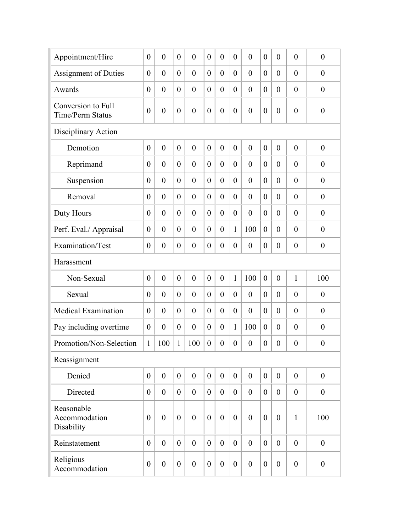| Appointment/Hire                              | $\overline{0}$   | $\overline{0}$   | $\theta$         | $\overline{0}$   | $\theta$       | $\overline{0}$   | $\theta$         | $\theta$         | $\theta$         | $\overline{0}$   | $\theta$         | $\boldsymbol{0}$ |
|-----------------------------------------------|------------------|------------------|------------------|------------------|----------------|------------------|------------------|------------------|------------------|------------------|------------------|------------------|
| <b>Assignment of Duties</b>                   | $\theta$         | $\theta$         | $\overline{0}$   | $\overline{0}$   | $\theta$       | $\overline{0}$   | $\theta$         | $\theta$         | $\theta$         | $\theta$         | $\theta$         | $\boldsymbol{0}$ |
| Awards                                        | $\theta$         | $\theta$         | $\overline{0}$   | $\overline{0}$   | $\theta$       | $\boldsymbol{0}$ | $\boldsymbol{0}$ | $\theta$         | $\overline{0}$   | $\theta$         | $\theta$         | $\boldsymbol{0}$ |
| Conversion to Full<br><b>Time/Perm Status</b> | $\theta$         | $\boldsymbol{0}$ | $\theta$         | $\overline{0}$   | $\theta$       | $\boldsymbol{0}$ | $\boldsymbol{0}$ | $\theta$         | $\overline{0}$   | $\theta$         | $\theta$         | $\boldsymbol{0}$ |
| Disciplinary Action                           |                  |                  |                  |                  |                |                  |                  |                  |                  |                  |                  |                  |
| Demotion                                      | $\overline{0}$   | $\overline{0}$   | $\overline{0}$   | $\overline{0}$   | $\overline{0}$ | $\overline{0}$   | $\theta$         | $\mathbf{0}$     | $\overline{0}$   | $\mathbf{0}$     | $\theta$         | $\boldsymbol{0}$ |
| Reprimand                                     | $\theta$         | $\theta$         | $\theta$         | $\theta$         | $\theta$       | $\overline{0}$   | $\theta$         | $\theta$         | $\theta$         | $\theta$         | $\theta$         | $\overline{0}$   |
| Suspension                                    | $\theta$         | $\overline{0}$   | $\theta$         | $\theta$         | $\theta$       | $\overline{0}$   | $\theta$         | $\mathbf{0}$     | $\theta$         | $\theta$         | $\theta$         | $\boldsymbol{0}$ |
| Removal                                       | $\theta$         | $\overline{0}$   | $\overline{0}$   | $\overline{0}$   | $\theta$       | $\overline{0}$   | $\theta$         | $\theta$         | $\overline{0}$   | $\theta$         | $\theta$         | $\boldsymbol{0}$ |
| Duty Hours                                    | $\theta$         | $\overline{0}$   | $\theta$         | $\overline{0}$   | $\theta$       | $\overline{0}$   | $\boldsymbol{0}$ | $\theta$         | $\theta$         | $\overline{0}$   | $\theta$         | $\boldsymbol{0}$ |
| Perf. Eval./ Appraisal                        | $\theta$         | $\overline{0}$   | $\theta$         | $\overline{0}$   | $\overline{0}$ | $\overline{0}$   | $\mathbf{1}$     | 100              | $\theta$         | $\theta$         | $\theta$         | $\boldsymbol{0}$ |
| Examination/Test                              | $\theta$         | $\boldsymbol{0}$ | $\boldsymbol{0}$ | $\boldsymbol{0}$ | $\theta$       | $\boldsymbol{0}$ | $\boldsymbol{0}$ | $\boldsymbol{0}$ | $\boldsymbol{0}$ | $\theta$         | $\theta$         | $\boldsymbol{0}$ |
| Harassment                                    |                  |                  |                  |                  |                |                  |                  |                  |                  |                  |                  |                  |
| Non-Sexual                                    | $\theta$         | $\overline{0}$   | $\theta$         | $\theta$         | $\theta$       | $\overline{0}$   | $\mathbf{1}$     | 100              | $\theta$         | $\mathbf{0}$     | $\mathbf{1}$     | 100              |
| Sexual                                        | $\theta$         | $\theta$         | $\theta$         | $\theta$         | $\overline{0}$ | $\overline{0}$   | $\theta$         | $\theta$         | $\overline{0}$   | $\theta$         | $\theta$         | $\boldsymbol{0}$ |
| <b>Medical Examination</b>                    | $\theta$         | $\theta$         | $\theta$         | $\theta$         | $\theta$       | $\overline{0}$   | $\boldsymbol{0}$ | $\theta$         | $\theta$         | $\theta$         | $\theta$         | $\boldsymbol{0}$ |
| Pay including overtime                        | $\theta$         | $\theta$         | $\overline{0}$   | $\theta$         | $\overline{0}$ | $\boldsymbol{0}$ | $\mathbf{1}$     | 100              | $\overline{0}$   | $\theta$         | $\theta$         | $\boldsymbol{0}$ |
| Promotion/Non-Selection                       | 1                | 100              | 1                | 100              | $\theta$       | $\boldsymbol{0}$ | $\boldsymbol{0}$ | $\boldsymbol{0}$ | $\boldsymbol{0}$ | $\boldsymbol{0}$ | $\boldsymbol{0}$ | $\boldsymbol{0}$ |
| Reassignment                                  |                  |                  |                  |                  |                |                  |                  |                  |                  |                  |                  |                  |
| Denied                                        | $\theta$         | $\boldsymbol{0}$ | $\overline{0}$   | $\mathbf{0}$     | $\overline{0}$ | $\boldsymbol{0}$ | $\boldsymbol{0}$ | $\boldsymbol{0}$ | $\overline{0}$   | $\boldsymbol{0}$ | $\overline{0}$   | $\boldsymbol{0}$ |
| Directed                                      | $\theta$         | $\boldsymbol{0}$ | $\overline{0}$   | $\theta$         | $\overline{0}$ | $\boldsymbol{0}$ | $\overline{0}$   | $\boldsymbol{0}$ | $\overline{0}$   | $\boldsymbol{0}$ | $\overline{0}$   | $\boldsymbol{0}$ |
| Reasonable<br>Accommodation<br>Disability     | $\theta$         | $\mathbf{0}$     | $\overline{0}$   | $\overline{0}$   | $\overline{0}$ | $\overline{0}$   | $\theta$         | $\mathbf{0}$     | $\overline{0}$   | $\overline{0}$   | $\mathbf{1}$     | 100              |
| Reinstatement                                 | $\theta$         | $\overline{0}$   | $\overline{0}$   | $\theta$         | $\overline{0}$ | $\mathbf{0}$     | $\overline{0}$   | $\overline{0}$   | $\overline{0}$   | $\boldsymbol{0}$ | $\theta$         | $\boldsymbol{0}$ |
| Religious<br>Accommodation                    | $\boldsymbol{0}$ | $\boldsymbol{0}$ | $\boldsymbol{0}$ | $\boldsymbol{0}$ | $\overline{0}$ | $\boldsymbol{0}$ | $\boldsymbol{0}$ | $\boldsymbol{0}$ | $\boldsymbol{0}$ | $\boldsymbol{0}$ | $\boldsymbol{0}$ | $\boldsymbol{0}$ |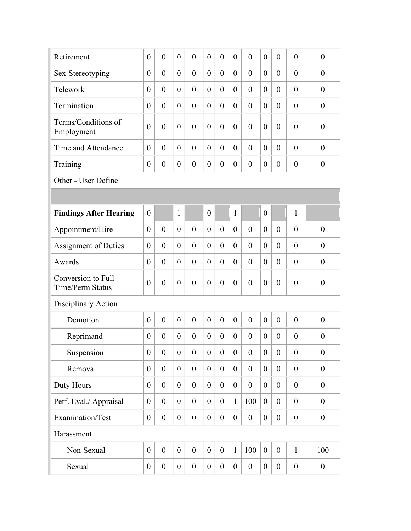| Retirement                                    | $\overline{0}$   | $\theta$         | $\theta$         | $\mathbf{0}$     | $\theta$         | $\overline{0}$   | $\overline{0}$   | $\mathbf{0}$     | $\theta$         | $\overline{0}$   | $\overline{0}$   | $\boldsymbol{0}$ |
|-----------------------------------------------|------------------|------------------|------------------|------------------|------------------|------------------|------------------|------------------|------------------|------------------|------------------|------------------|
| Sex-Stereotyping                              | $\theta$         | $\theta$         | $\overline{0}$   | $\theta$         | $\overline{0}$   | $\overline{0}$   | $\overline{0}$   | $\theta$         | $\theta$         | $\theta$         | $\overline{0}$   | $\boldsymbol{0}$ |
| Telework                                      | $\theta$         | $\theta$         | $\overline{0}$   | $\overline{0}$   | $\overline{0}$   | $\overline{0}$   | $\theta$         | $\theta$         | $\theta$         | $\theta$         | $\overline{0}$   | $\boldsymbol{0}$ |
| Termination                                   | $\theta$         | $\theta$         | $\theta$         | $\overline{0}$   | $\overline{0}$   | $\overline{0}$   | $\boldsymbol{0}$ | $\theta$         | $\theta$         | $\theta$         | $\overline{0}$   | $\boldsymbol{0}$ |
| Terms/Conditions of<br>Employment             | $\theta$         | $\mathbf{0}$     | $\theta$         | $\overline{0}$   | $\theta$         | $\boldsymbol{0}$ | $\theta$         | $\mathbf{0}$     | $\theta$         | $\theta$         | $\overline{0}$   | $\boldsymbol{0}$ |
| Time and Attendance                           | $\theta$         | $\theta$         | $\theta$         | $\theta$         | $\overline{0}$   | $\overline{0}$   | $\overline{0}$   | $\mathbf{0}$     | $\theta$         | $\theta$         | $\theta$         | $\overline{0}$   |
| Training                                      | $\theta$         | $\theta$         | $\overline{0}$   | $\overline{0}$   | $\overline{0}$   | $\overline{0}$   | $\theta$         | $\theta$         | $\theta$         | $\theta$         | $\theta$         | $\boldsymbol{0}$ |
| Other - User Define                           |                  |                  |                  |                  |                  |                  |                  |                  |                  |                  |                  |                  |
|                                               |                  |                  |                  |                  |                  |                  |                  |                  |                  |                  |                  |                  |
| <b>Findings After Hearing</b>                 | $\theta$         |                  | $\mathbf{1}$     |                  | $\boldsymbol{0}$ |                  | $\mathbf{1}$     |                  | $\mathbf{0}$     |                  | $\mathbf{1}$     |                  |
| Appointment/Hire                              | $\theta$         | $\theta$         | $\overline{0}$   | $\theta$         | $\overline{0}$   | $\overline{0}$   | $\overline{0}$   | $\theta$         | $\theta$         | $\theta$         | $\theta$         | $\boldsymbol{0}$ |
| <b>Assignment of Duties</b>                   | $\theta$         | $\theta$         | $\overline{0}$   | $\theta$         | $\overline{0}$   | $\overline{0}$   | $\theta$         | $\theta$         | $\theta$         | $\theta$         | $\theta$         | $\theta$         |
| Awards                                        | $\theta$         | $\theta$         | $\overline{0}$   | $\theta$         | $\overline{0}$   | $\overline{0}$   | $\theta$         | $\theta$         | $\theta$         | $\theta$         | $\theta$         | $\boldsymbol{0}$ |
| Conversion to Full<br><b>Time/Perm Status</b> | $\theta$         | $\theta$         | $\theta$         | $\overline{0}$   | $\theta$         | $\overline{0}$   | $\boldsymbol{0}$ | $\theta$         | $\theta$         | $\theta$         | $\overline{0}$   | $\boldsymbol{0}$ |
| Disciplinary Action                           |                  |                  |                  |                  |                  |                  |                  |                  |                  |                  |                  |                  |
| Demotion                                      | $\theta$         | $\mathbf{0}$     | $\theta$         | $\overline{0}$   | $\theta$         | $\overline{0}$   | $\theta$         | $\mathbf{0}$     | $\theta$         | $\overline{0}$   | $\mathbf{0}$     | $\boldsymbol{0}$ |
| Reprimand                                     | $\theta$         | $\theta$         | $\overline{0}$   | $\overline{0}$   | $\overline{0}$   | $\overline{0}$   | $\theta$         | $\theta$         | $\theta$         | $\theta$         | $\overline{0}$   | $\boldsymbol{0}$ |
| Suspension                                    | $\boldsymbol{0}$ | $\boldsymbol{0}$ | $\boldsymbol{0}$ | $\boldsymbol{0}$ | $\boldsymbol{0}$ | $\boldsymbol{0}$ | $\boldsymbol{0}$ | $\overline{0}$   | $\overline{0}$   | $\boldsymbol{0}$ | $\boldsymbol{0}$ | $\boldsymbol{0}$ |
| Removal                                       | $\overline{0}$   | $\boldsymbol{0}$ | $\overline{0}$   | $\overline{0}$   | $\overline{0}$   | $\boldsymbol{0}$ | $\boldsymbol{0}$ | $\mathbf{0}$     | $\theta$         | $\boldsymbol{0}$ | $\overline{0}$   | $\boldsymbol{0}$ |
| Duty Hours                                    | $\overline{0}$   | $\boldsymbol{0}$ | $\overline{0}$   | $\overline{0}$   | $\theta$         | $\boldsymbol{0}$ | $\boldsymbol{0}$ | $\boldsymbol{0}$ | $\theta$         | $\boldsymbol{0}$ | $\overline{0}$   | $\boldsymbol{0}$ |
| Perf. Eval./ Appraisal                        | $\overline{0}$   | $\theta$         | $\theta$         | $\overline{0}$   | $\theta$         | $\boldsymbol{0}$ | $\mathbf{1}$     | 100              | $\boldsymbol{0}$ | $\overline{0}$   | $\overline{0}$   | $\boldsymbol{0}$ |
| Examination/Test                              | $\boldsymbol{0}$ | $\boldsymbol{0}$ | $\boldsymbol{0}$ | $\boldsymbol{0}$ | $\boldsymbol{0}$ | $\boldsymbol{0}$ | $\boldsymbol{0}$ | $\boldsymbol{0}$ | $\boldsymbol{0}$ | $\boldsymbol{0}$ | $\boldsymbol{0}$ | $\boldsymbol{0}$ |
| Harassment                                    |                  |                  |                  |                  |                  |                  |                  |                  |                  |                  |                  |                  |
| Non-Sexual                                    | $\boldsymbol{0}$ | $\boldsymbol{0}$ | $\boldsymbol{0}$ | $\boldsymbol{0}$ | $\boldsymbol{0}$ | $\boldsymbol{0}$ | $\mathbf{1}$     | 100              | $\boldsymbol{0}$ | $\boldsymbol{0}$ | $\mathbf{1}$     | 100              |
| Sexual                                        | $\boldsymbol{0}$ | $\boldsymbol{0}$ | $\overline{0}$   | $\boldsymbol{0}$ | $\overline{0}$   | $\boldsymbol{0}$ | $\boldsymbol{0}$ | $\boldsymbol{0}$ | $\boldsymbol{0}$ | $\boldsymbol{0}$ | $\boldsymbol{0}$ | $\boldsymbol{0}$ |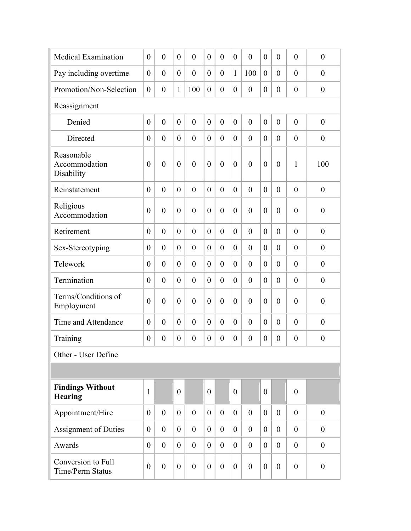| <b>Medical Examination</b>                    | $\theta$       | $\overline{0}$ | $\theta$       | $\overline{0}$ | $\theta$       | $\overline{0}$   | $\theta$         | $\theta$         | $\theta$         | $\overline{0}$ | $\theta$       | $\boldsymbol{0}$ |
|-----------------------------------------------|----------------|----------------|----------------|----------------|----------------|------------------|------------------|------------------|------------------|----------------|----------------|------------------|
| Pay including overtime                        | $\overline{0}$ | $\overline{0}$ | $\theta$       | $\overline{0}$ | $\overline{0}$ | $\boldsymbol{0}$ | $\mathbf{1}$     | 100              | $\theta$         | $\overline{0}$ | $\theta$       | $\boldsymbol{0}$ |
| Promotion/Non-Selection                       | $\theta$       | $\overline{0}$ | 1              | 100            | $\theta$       | $\boldsymbol{0}$ | $\boldsymbol{0}$ | $\boldsymbol{0}$ | $\boldsymbol{0}$ | $\overline{0}$ | $\theta$       | $\boldsymbol{0}$ |
| Reassignment                                  |                |                |                |                |                |                  |                  |                  |                  |                |                |                  |
| Denied                                        | $\overline{0}$ | $\overline{0}$ | $\theta$       | $\overline{0}$ | $\theta$       | $\boldsymbol{0}$ | $\mathbf{0}$     | $\theta$         | $\theta$         | $\overline{0}$ | $\theta$       | $\boldsymbol{0}$ |
| Directed                                      | $\theta$       | $\overline{0}$ | $\theta$       | $\theta$       | $\theta$       | $\overline{0}$   | $\theta$         | $\theta$         | $\theta$         | $\theta$       | $\theta$       | $\boldsymbol{0}$ |
| Reasonable<br>Accommodation<br>Disability     | $\theta$       | $\overline{0}$ | $\theta$       | $\theta$       | $\theta$       | $\overline{0}$   | $\overline{0}$   | $\mathbf{0}$     | $\overline{0}$   | $\overline{0}$ | 1              | 100              |
| Reinstatement                                 | $\theta$       | $\overline{0}$ | $\overline{0}$ | $\overline{0}$ | $\theta$       | $\overline{0}$   | $\theta$         | $\theta$         | $\theta$         | $\overline{0}$ | $\theta$       | $\boldsymbol{0}$ |
| Religious<br>Accommodation                    | $\overline{0}$ | $\overline{0}$ | $\theta$       | $\overline{0}$ | $\theta$       | $\overline{0}$   | $\overline{0}$   | $\theta$         | $\overline{0}$   | $\overline{0}$ | $\theta$       | $\boldsymbol{0}$ |
| Retirement                                    | $\theta$       | $\overline{0}$ | $\theta$       | $\theta$       | $\theta$       | $\overline{0}$   | $\theta$         | $\theta$         | $\theta$         | $\overline{0}$ | $\theta$       | $\boldsymbol{0}$ |
| Sex-Stereotyping                              | $\theta$       | $\overline{0}$ | $\theta$       | $\theta$       | $\overline{0}$ | $\overline{0}$   | $\theta$         | $\theta$         | $\theta$         | $\overline{0}$ | $\theta$       | $\boldsymbol{0}$ |
| Telework                                      | $\theta$       | $\overline{0}$ | $\theta$       | $\theta$       | $\theta$       | $\boldsymbol{0}$ | $\theta$         | $\theta$         | $\theta$         | $\overline{0}$ | $\theta$       | $\boldsymbol{0}$ |
| Termination                                   | $\theta$       | $\overline{0}$ | $\theta$       | $\mathbf{0}$   | $\overline{0}$ | $\boldsymbol{0}$ | $\theta$         | $\mathbf{0}$     | $\theta$         | $\overline{0}$ | $\mathbf{0}$   | $\boldsymbol{0}$ |
| Terms/Conditions of<br>Employment             | $\theta$       | $\theta$       | $\theta$       | $\theta$       | $\theta$       | $\theta$         | $\overline{0}$   | $\theta$         | $\theta$         | $\theta$       | $\theta$       | $\boldsymbol{0}$ |
| Time and Attendance                           | $\theta$       | $\overline{0}$ | $\theta$       | $\overline{0}$ | $\theta$       | $\overline{0}$   | $\mathbf{0}$     | $\mathbf{0}$     | $\theta$         | $\overline{0}$ | $\theta$       | $\boldsymbol{0}$ |
| Training                                      | $\overline{0}$ | $\overline{0}$ | $\theta$       | $\overline{0}$ | $\overline{0}$ | $\boldsymbol{0}$ | $\theta$         | $\theta$         | $\theta$         | $\theta$       | $\theta$       | $\boldsymbol{0}$ |
| Other - User Define                           |                |                |                |                |                |                  |                  |                  |                  |                |                |                  |
|                                               |                |                |                |                |                |                  |                  |                  |                  |                |                |                  |
| <b>Findings Without</b><br><b>Hearing</b>     | $\mathbf{1}$   |                | $\theta$       |                | $\theta$       |                  | $\theta$         |                  | $\theta$         |                | $\theta$       |                  |
| Appointment/Hire                              | $\theta$       | $\overline{0}$ | $\overline{0}$ | $\theta$       | $\overline{0}$ | $\mathbf{0}$     | $\overline{0}$   | $\mathbf{0}$     | $\overline{0}$   | $\overline{0}$ | $\theta$       | $\boldsymbol{0}$ |
| Assignment of Duties                          | $\theta$       | $\overline{0}$ | $\overline{0}$ | $\overline{0}$ | $\overline{0}$ | $\mathbf{0}$     | $\overline{0}$   | $\theta$         | $\overline{0}$   | $\overline{0}$ | $\overline{0}$ | $\boldsymbol{0}$ |
| Awards                                        | $\theta$       | $\theta$       | $\overline{0}$ | $\overline{0}$ | $\overline{0}$ | $\boldsymbol{0}$ | $\overline{0}$   | $\mathbf{0}$     | $\overline{0}$   | $\overline{0}$ | $\overline{0}$ | $\boldsymbol{0}$ |
| Conversion to Full<br><b>Time/Perm Status</b> | $\theta$       | $\mathbf{0}$   | $\overline{0}$ | $\mathbf{0}$   | $\overline{0}$ | $\mathbf{0}$     | $\theta$         | $\theta$         | $\overline{0}$   | $\overline{0}$ | $\theta$       | $\boldsymbol{0}$ |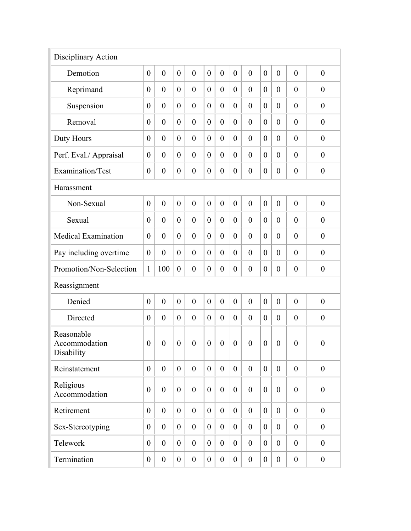| Disciplinary Action                       |                  |                  |                  |                  |                  |                  |                  |                  |                  |                  |                  |                  |
|-------------------------------------------|------------------|------------------|------------------|------------------|------------------|------------------|------------------|------------------|------------------|------------------|------------------|------------------|
| Demotion                                  | $\theta$         | $\boldsymbol{0}$ | $\theta$         | $\overline{0}$   | $\boldsymbol{0}$ | $\boldsymbol{0}$ | $\mathbf{0}$     | $\mathbf{0}$     | $\theta$         | $\theta$         | $\theta$         | $\boldsymbol{0}$ |
| Reprimand                                 | $\overline{0}$   | $\overline{0}$   | $\theta$         | $\overline{0}$   | $\theta$         | $\overline{0}$   | $\overline{0}$   | $\theta$         | $\theta$         | $\theta$         | $\theta$         | $\boldsymbol{0}$ |
| Suspension                                | $\overline{0}$   | $\overline{0}$   | $\theta$         | $\overline{0}$   | $\theta$         | $\overline{0}$   | $\overline{0}$   | $\theta$         | $\theta$         | $\theta$         | $\theta$         | $\boldsymbol{0}$ |
| Removal                                   | $\overline{0}$   | $\overline{0}$   | $\theta$         | $\overline{0}$   | $\theta$         | $\overline{0}$   | $\overline{0}$   | $\theta$         | $\overline{0}$   | $\theta$         | $\theta$         | $\boldsymbol{0}$ |
| Duty Hours                                | $\overline{0}$   | $\overline{0}$   | $\theta$         | $\overline{0}$   | $\theta$         | $\overline{0}$   | $\theta$         | $\theta$         | $\theta$         | $\theta$         | $\theta$         | $\boldsymbol{0}$ |
| Perf. Eval./ Appraisal                    | $\theta$         | $\overline{0}$   | $\theta$         | $\overline{0}$   | $\theta$         | $\overline{0}$   | $\mathbf{0}$     | $\theta$         | $\theta$         | $\theta$         | $\theta$         | $\boldsymbol{0}$ |
| Examination/Test                          | $\overline{0}$   | $\boldsymbol{0}$ | $\theta$         | $\overline{0}$   | $\theta$         | $\boldsymbol{0}$ | $\boldsymbol{0}$ | $\boldsymbol{0}$ | $\boldsymbol{0}$ | $\theta$         | $\overline{0}$   | $\boldsymbol{0}$ |
| Harassment                                |                  |                  |                  |                  |                  |                  |                  |                  |                  |                  |                  |                  |
| Non-Sexual                                | $\theta$         | $\overline{0}$   | $\theta$         | $\overline{0}$   | $\theta$         | $\overline{0}$   | $\boldsymbol{0}$ | $\overline{0}$   | $\theta$         | $\mathbf{0}$     | $\mathbf{0}$     | $\boldsymbol{0}$ |
| Sexual                                    | $\theta$         | $\overline{0}$   | $\theta$         | $\overline{0}$   | $\theta$         | $\overline{0}$   | $\overline{0}$   | $\overline{0}$   | $\overline{0}$   | $\theta$         | $\theta$         | $\boldsymbol{0}$ |
| <b>Medical Examination</b>                | $\theta$         | $\overline{0}$   | $\theta$         | $\overline{0}$   | $\theta$         | $\overline{0}$   | $\overline{0}$   | $\overline{0}$   | $\theta$         | $\theta$         | $\theta$         | $\boldsymbol{0}$ |
| Pay including overtime                    | $\overline{0}$   | $\overline{0}$   | $\theta$         | $\overline{0}$   | $\theta$         | $\overline{0}$   | $\overline{0}$   | $\overline{0}$   | $\theta$         | $\theta$         | $\theta$         | $\boldsymbol{0}$ |
| Promotion/Non-Selection                   | 1                | 100              | $\theta$         | $\overline{0}$   | $\theta$         | $\overline{0}$   | $\overline{0}$   | $\overline{0}$   | $\theta$         | $\theta$         | $\theta$         | $\boldsymbol{0}$ |
| Reassignment                              |                  |                  |                  |                  |                  |                  |                  |                  |                  |                  |                  |                  |
| Denied                                    | $\theta$         | $\overline{0}$   | $\mathbf{0}$     | $\theta$         | $\mathbf{0}$     | $\overline{0}$   | $\overline{0}$   | $\theta$         | $\theta$         | $\mathbf{0}$     | $\theta$         | $\boldsymbol{0}$ |
| Directed                                  | $\theta$         | $\overline{0}$   | $\theta$         | $\theta$         | $\theta$         | $\overline{0}$   | $\theta$         | $\overline{0}$   | $\theta$         | $\theta$         | $\mathbf{0}$     | $\boldsymbol{0}$ |
| Reasonable<br>Accommodation<br>Disability | $\boldsymbol{0}$ | $\overline{0}$   | $\theta$         | $\overline{0}$   | $\overline{0}$   | $\boldsymbol{0}$ | $\overline{0}$   | $\boldsymbol{0}$ | $\theta$         | $\theta$         | $\overline{0}$   | $\boldsymbol{0}$ |
| Reinstatement                             | $\theta$         | $\overline{0}$   | $\overline{0}$   | $\overline{0}$   | $\theta$         | $\overline{0}$   | $\overline{0}$   | $\mathbf{0}$     | $\overline{0}$   | $\overline{0}$   | $\overline{0}$   | $\boldsymbol{0}$ |
| Religious<br>Accommodation                | $\theta$         | $\boldsymbol{0}$ | $\theta$         | $\overline{0}$   | $\theta$         | $\boldsymbol{0}$ | $\boldsymbol{0}$ | $\mathbf{0}$     | $\theta$         | $\boldsymbol{0}$ | $\overline{0}$   | $\boldsymbol{0}$ |
| Retirement                                | $\theta$         | $\overline{0}$   | $\overline{0}$   | $\mathbf{0}$     | $\theta$         | $\overline{0}$   | $\overline{0}$   | $\theta$         | $\theta$         | $\overline{0}$   | $\overline{0}$   | $\mathbf{0}$     |
| Sex-Stereotyping                          | $\theta$         | $\overline{0}$   | $\theta$         | $\mathbf{0}$     | $\overline{0}$   | $\mathbf{0}$     | $\theta$         | $\overline{0}$   | $\theta$         | $\overline{0}$   | $\overline{0}$   | $\boldsymbol{0}$ |
| Telework                                  | $\theta$         | $\overline{0}$   | $\theta$         | $\overline{0}$   | $\boldsymbol{0}$ | $\mathbf{0}$     | $\theta$         | $\boldsymbol{0}$ | $\overline{0}$   | $\overline{0}$   | $\theta$         | $\boldsymbol{0}$ |
| Termination                               | $\boldsymbol{0}$ | $\boldsymbol{0}$ | $\boldsymbol{0}$ | $\boldsymbol{0}$ | $\boldsymbol{0}$ | $\boldsymbol{0}$ | $\boldsymbol{0}$ | $\boldsymbol{0}$ | $\boldsymbol{0}$ | $\mathbf{0}$     | $\boldsymbol{0}$ | $\boldsymbol{0}$ |